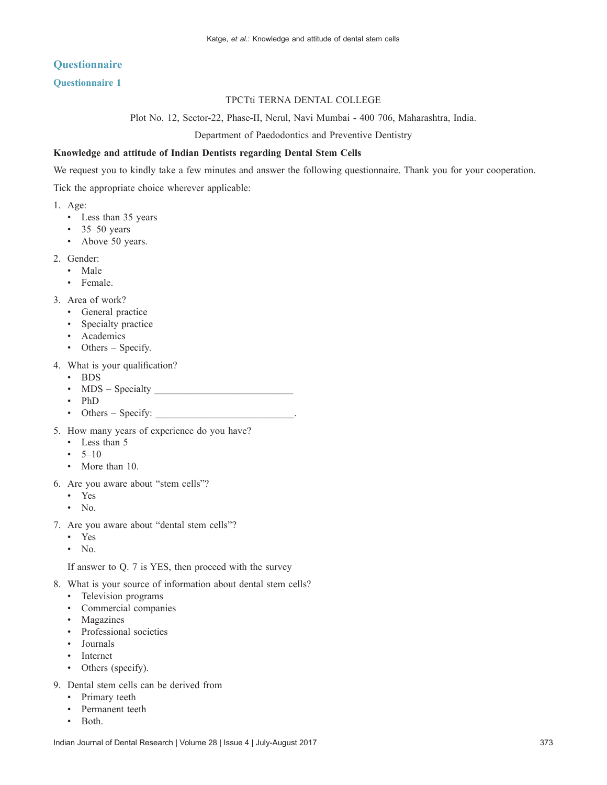# **Questionnaire**

## **Questionnaire 1**

### TPCTti TERNA DENTAL COLLEGE

Plot No. 12, Sector‑22, Phase‑II, Nerul, Navi Mumbai ‑ 400 706, Maharashtra, India.

Department of Paedodontics and Preventive Dentistry

#### **Knowledge and attitude of Indian Dentists regarding Dental Stem Cells**

We request you to kindly take a few minutes and answer the following questionnaire. Thank you for your cooperation.

Tick the appropriate choice wherever applicable:

- 1. Age:
	- • Less than 35 years
	- $\cdot$  35–50 years
	- Above 50 years.
- 2. Gender:
	- • Male
	- Female.
- 3. Area of work?
	- • General practice
	- Specialty practice
	- • Academics
	- Others Specify.
- 4. What is your qualification?
	- • BDS
	- • MDS Specialty \_\_\_\_\_\_\_\_\_\_\_\_\_\_\_\_\_\_\_\_\_\_\_\_\_\_\_\_
	- • PhD
	- Others Specify:
- 5. How many years of experience do you have?
	- Less than 5
	- $5-10$
	- More than 10.
- 6. Are you aware about "stem cells"?
	- • Yes
	- $\bullet$  No.
- 7. Are you aware about "dental stem cells"?
	- • Yes
	- $\bullet$  No.

 If answer to Q. 7 is YES, then proceed with the survey

- 8. What is your source of information about dental stem cells?
	- • Television programs
	- • Commercial companies
	- Magazines
	- Professional societies
	- **Journals**
	- Internet
	- Others (specify).
- 9. Dental stem cells can be derived from
	- Primary teeth
	- Permanent teeth
	- Both.